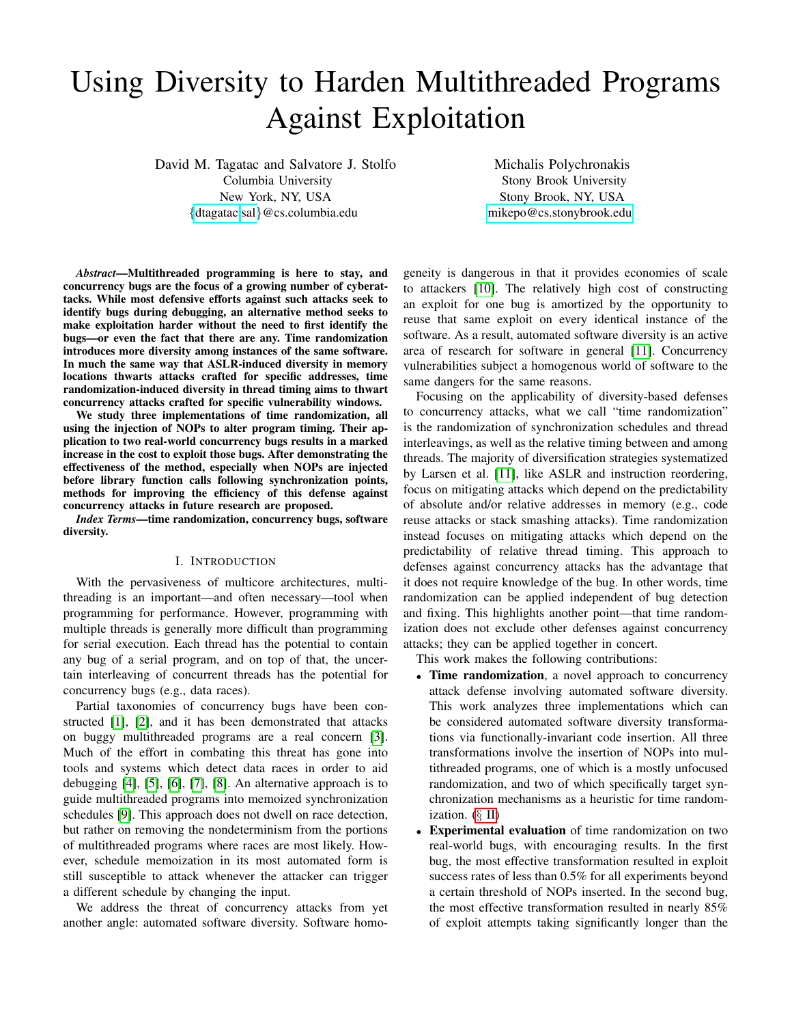# Using Diversity to Harden Multithreaded Programs Against Exploitation

David M. Tagatac and Salvatore J. Stolfo Columbia University New York, NY, USA {[dtagatac,](mailto:dtagatac@cs.columbia.edu)[sal](mailto:sal@cs.columbia.edu)}@cs.columbia.edu

Michalis Polychronakis Stony Brook University Stony Brook, NY, USA [mikepo@cs.stonybrook.edu](mailto:mikepo@cs.stonybrook.edu)

*Abstract*—Multithreaded programming is here to stay, and concurrency bugs are the focus of a growing number of cyberattacks. While most defensive efforts against such attacks seek to identify bugs during debugging, an alternative method seeks to make exploitation harder without the need to first identify the bugs—or even the fact that there are any. Time randomization introduces more diversity among instances of the same software. In much the same way that ASLR-induced diversity in memory locations thwarts attacks crafted for specific addresses, time randomization-induced diversity in thread timing aims to thwart concurrency attacks crafted for specific vulnerability windows.

We study three implementations of time randomization, all using the injection of NOPs to alter program timing. Their application to two real-world concurrency bugs results in a marked increase in the cost to exploit those bugs. After demonstrating the effectiveness of the method, especially when NOPs are injected before library function calls following synchronization points, methods for improving the efficiency of this defense against concurrency attacks in future research are proposed.

*Index Terms*—time randomization, concurrency bugs, software diversity.

## I. INTRODUCTION

With the pervasiveness of multicore architectures, multithreading is an important—and often necessary—tool when programming for performance. However, programming with multiple threads is generally more difficult than programming for serial execution. Each thread has the potential to contain any bug of a serial program, and on top of that, the uncertain interleaving of concurrent threads has the potential for concurrency bugs (e.g., data races).

Partial taxonomies of concurrency bugs have been constructed [\[1\]](#page-5-0), [\[2\]](#page-5-1), and it has been demonstrated that attacks on buggy multithreaded programs are a real concern [\[3\]](#page-5-2). Much of the effort in combating this threat has gone into tools and systems which detect data races in order to aid debugging [\[4\]](#page-5-3), [\[5\]](#page-5-4), [\[6\]](#page-5-5), [\[7\]](#page-5-6), [\[8\]](#page-5-7). An alternative approach is to guide multithreaded programs into memoized synchronization schedules [\[9\]](#page-5-8). This approach does not dwell on race detection, but rather on removing the nondeterminism from the portions of multithreaded programs where races are most likely. However, schedule memoization in its most automated form is still susceptible to attack whenever the attacker can trigger a different schedule by changing the input.

We address the threat of concurrency attacks from yet another angle: automated software diversity. Software homogeneity is dangerous in that it provides economies of scale to attackers [\[10\]](#page-5-9). The relatively high cost of constructing an exploit for one bug is amortized by the opportunity to reuse that same exploit on every identical instance of the software. As a result, automated software diversity is an active area of research for software in general [\[11\]](#page-5-10). Concurrency vulnerabilities subject a homogenous world of software to the same dangers for the same reasons.

Focusing on the applicability of diversity-based defenses to concurrency attacks, what we call "time randomization" is the randomization of synchronization schedules and thread interleavings, as well as the relative timing between and among threads. The majority of diversification strategies systematized by Larsen et al. [\[11\]](#page-5-10), like ASLR and instruction reordering, focus on mitigating attacks which depend on the predictability of absolute and/or relative addresses in memory (e.g., code reuse attacks or stack smashing attacks). Time randomization instead focuses on mitigating attacks which depend on the predictability of relative thread timing. This approach to defenses against concurrency attacks has the advantage that it does not require knowledge of the bug. In other words, time randomization can be applied independent of bug detection and fixing. This highlights another point—that time randomization does not exclude other defenses against concurrency attacks; they can be applied together in concert.

This work makes the following contributions:

- Time randomization, a novel approach to concurrency attack defense involving automated software diversity. This work analyzes three implementations which can be considered automated software diversity transformations via functionally-invariant code insertion. All three transformations involve the insertion of NOPs into multithreaded programs, one of which is a mostly unfocused randomization, and two of which specifically target synchronization mechanisms as a heuristic for time randomization. (§ [II\)](#page-1-0)
- Experimental evaluation of time randomization on two real-world bugs, with encouraging results. In the first bug, the most effective transformation resulted in exploit success rates of less than 0.5% for all experiments beyond a certain threshold of NOPs inserted. In the second bug, the most effective transformation resulted in nearly 85% of exploit attempts taking significantly longer than the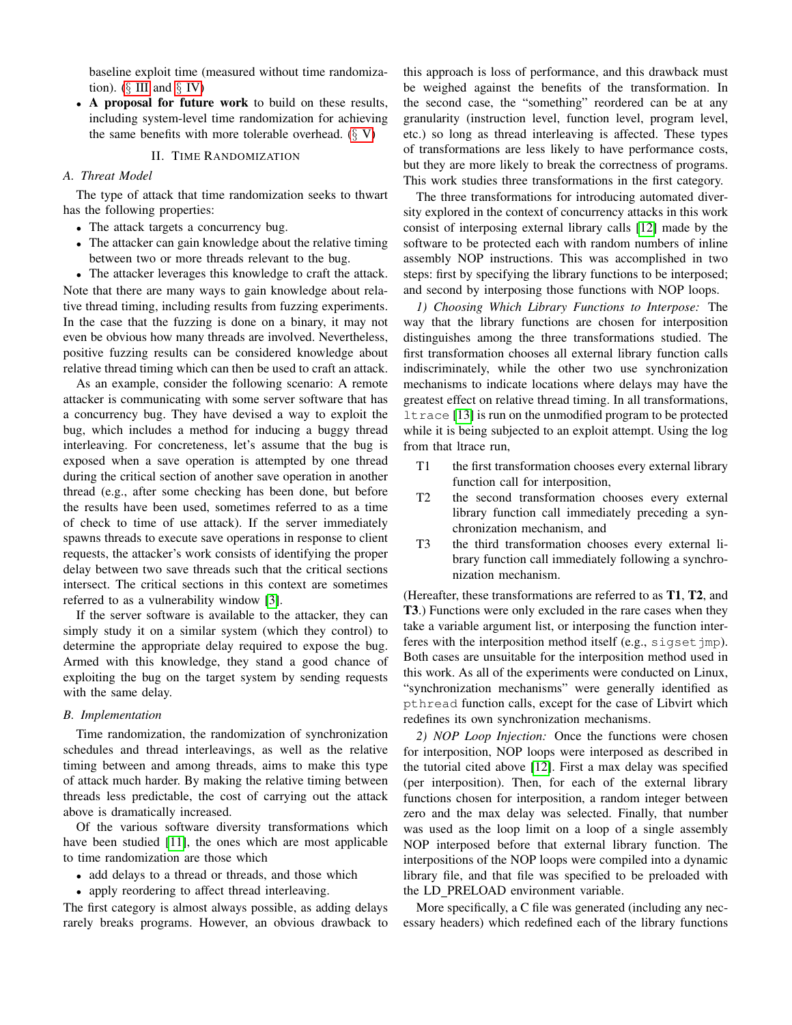baseline exploit time (measured without time randomization). ( $\S$  [III](#page-2-0) and  $\S$  [IV\)](#page-2-1)

• A proposal for future work to build on these results, including system-level time randomization for achieving the same benefits with more tolerable overhead.  $(\S V)$  $(\S V)$ 

# II. TIME RANDOMIZATION

# <span id="page-1-0"></span>*A. Threat Model*

The type of attack that time randomization seeks to thwart has the following properties:

- The attack targets a concurrency bug.
- The attacker can gain knowledge about the relative timing between two or more threads relevant to the bug.

• The attacker leverages this knowledge to craft the attack. Note that there are many ways to gain knowledge about relative thread timing, including results from fuzzing experiments. In the case that the fuzzing is done on a binary, it may not even be obvious how many threads are involved. Nevertheless, positive fuzzing results can be considered knowledge about relative thread timing which can then be used to craft an attack.

As an example, consider the following scenario: A remote attacker is communicating with some server software that has a concurrency bug. They have devised a way to exploit the bug, which includes a method for inducing a buggy thread interleaving. For concreteness, let's assume that the bug is exposed when a save operation is attempted by one thread during the critical section of another save operation in another thread (e.g., after some checking has been done, but before the results have been used, sometimes referred to as a time of check to time of use attack). If the server immediately spawns threads to execute save operations in response to client requests, the attacker's work consists of identifying the proper delay between two save threads such that the critical sections intersect. The critical sections in this context are sometimes referred to as a vulnerability window [\[3\]](#page-5-2).

If the server software is available to the attacker, they can simply study it on a similar system (which they control) to determine the appropriate delay required to expose the bug. Armed with this knowledge, they stand a good chance of exploiting the bug on the target system by sending requests with the same delay.

#### <span id="page-1-2"></span>*B. Implementation*

Time randomization, the randomization of synchronization schedules and thread interleavings, as well as the relative timing between and among threads, aims to make this type of attack much harder. By making the relative timing between threads less predictable, the cost of carrying out the attack above is dramatically increased.

Of the various software diversity transformations which have been studied [\[11\]](#page-5-10), the ones which are most applicable to time randomization are those which

- add delays to a thread or threads, and those which
- apply reordering to affect thread interleaving.

The first category is almost always possible, as adding delays rarely breaks programs. However, an obvious drawback to this approach is loss of performance, and this drawback must be weighed against the benefits of the transformation. In the second case, the "something" reordered can be at any granularity (instruction level, function level, program level, etc.) so long as thread interleaving is affected. These types of transformations are less likely to have performance costs, but they are more likely to break the correctness of programs. This work studies three transformations in the first category.

The three transformations for introducing automated diversity explored in the context of concurrency attacks in this work consist of interposing external library calls [\[12\]](#page-5-11) made by the software to be protected each with random numbers of inline assembly NOP instructions. This was accomplished in two steps: first by specifying the library functions to be interposed; and second by interposing those functions with NOP loops.

<span id="page-1-1"></span>*1) Choosing Which Library Functions to Interpose:* The way that the library functions are chosen for interposition distinguishes among the three transformations studied. The first transformation chooses all external library function calls indiscriminately, while the other two use synchronization mechanisms to indicate locations where delays may have the greatest effect on relative thread timing. In all transformations, ltrace [\[13\]](#page-5-12) is run on the unmodified program to be protected while it is being subjected to an exploit attempt. Using the log from that ltrace run,

- T1 the first transformation chooses every external library function call for interposition,
- T2 the second transformation chooses every external library function call immediately preceding a synchronization mechanism, and
- T3 the third transformation chooses every external library function call immediately following a synchronization mechanism.

(Hereafter, these transformations are referred to as T1, T2, and T3.) Functions were only excluded in the rare cases when they take a variable argument list, or interposing the function interferes with the interposition method itself (e.g., sigset  $\text{imp}$ ). Both cases are unsuitable for the interposition method used in this work. As all of the experiments were conducted on Linux, "synchronization mechanisms" were generally identified as pthread function calls, except for the case of Libvirt which redefines its own synchronization mechanisms.

*2) NOP Loop Injection:* Once the functions were chosen for interposition, NOP loops were interposed as described in the tutorial cited above [\[12\]](#page-5-11). First a max delay was specified (per interposition). Then, for each of the external library functions chosen for interposition, a random integer between zero and the max delay was selected. Finally, that number was used as the loop limit on a loop of a single assembly NOP interposed before that external library function. The interpositions of the NOP loops were compiled into a dynamic library file, and that file was specified to be preloaded with the LD PRELOAD environment variable.

More specifically, a C file was generated (including any necessary headers) which redefined each of the library functions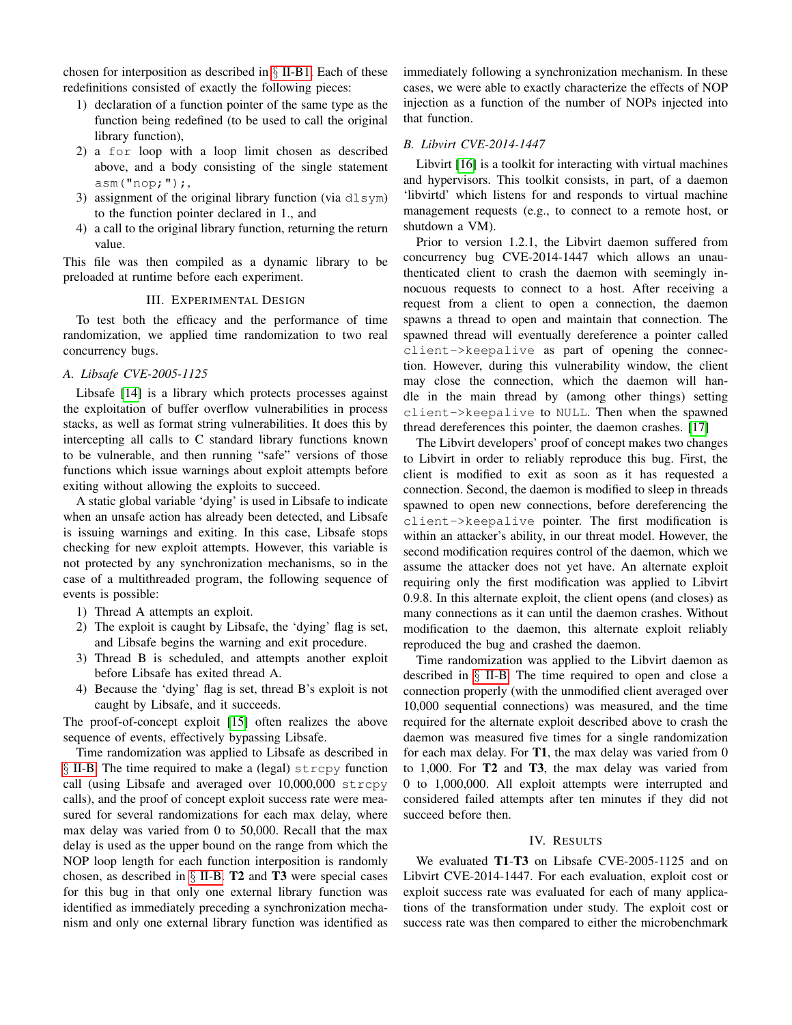chosen for interposition as described in  $\S$  [II-B1.](#page-1-1) Each of these redefinitions consisted of exactly the following pieces:

- 1) declaration of a function pointer of the same type as the function being redefined (to be used to call the original library function),
- 2) a for loop with a loop limit chosen as described above, and a body consisting of the single statement  $asm("nop;");$
- 3) assignment of the original library function (via  $dl$ sym) to the function pointer declared in 1., and
- 4) a call to the original library function, returning the return value.

This file was then compiled as a dynamic library to be preloaded at runtime before each experiment.

#### III. EXPERIMENTAL DESIGN

<span id="page-2-0"></span>To test both the efficacy and the performance of time randomization, we applied time randomization to two real concurrency bugs.

# *A. Libsafe CVE-2005-1125*

Libsafe [\[14\]](#page-5-13) is a library which protects processes against the exploitation of buffer overflow vulnerabilities in process stacks, as well as format string vulnerabilities. It does this by intercepting all calls to C standard library functions known to be vulnerable, and then running "safe" versions of those functions which issue warnings about exploit attempts before exiting without allowing the exploits to succeed.

A static global variable 'dying' is used in Libsafe to indicate when an unsafe action has already been detected, and Libsafe is issuing warnings and exiting. In this case, Libsafe stops checking for new exploit attempts. However, this variable is not protected by any synchronization mechanisms, so in the case of a multithreaded program, the following sequence of events is possible:

- 1) Thread A attempts an exploit.
- 2) The exploit is caught by Libsafe, the 'dying' flag is set, and Libsafe begins the warning and exit procedure.
- 3) Thread B is scheduled, and attempts another exploit before Libsafe has exited thread A.
- 4) Because the 'dying' flag is set, thread B's exploit is not caught by Libsafe, and it succeeds.

The proof-of-concept exploit [\[15\]](#page-5-14) often realizes the above sequence of events, effectively bypassing Libsafe.

Time randomization was applied to Libsafe as described in § [II-B.](#page-1-2) The time required to make a (legal) strcpy function call (using Libsafe and averaged over 10,000,000 strcpy calls), and the proof of concept exploit success rate were measured for several randomizations for each max delay, where max delay was varied from 0 to 50,000. Recall that the max delay is used as the upper bound on the range from which the NOP loop length for each function interposition is randomly chosen, as described in  $\S$  [II-B.](#page-1-2) **T2** and **T3** were special cases for this bug in that only one external library function was identified as immediately preceding a synchronization mechanism and only one external library function was identified as immediately following a synchronization mechanism. In these cases, we were able to exactly characterize the effects of NOP injection as a function of the number of NOPs injected into that function.

#### *B. Libvirt CVE-2014-1447*

Libvirt [\[16\]](#page-5-15) is a toolkit for interacting with virtual machines and hypervisors. This toolkit consists, in part, of a daemon 'libvirtd' which listens for and responds to virtual machine management requests (e.g., to connect to a remote host, or shutdown a VM).

Prior to version 1.2.1, the Libvirt daemon suffered from concurrency bug CVE-2014-1447 which allows an unauthenticated client to crash the daemon with seemingly innocuous requests to connect to a host. After receiving a request from a client to open a connection, the daemon spawns a thread to open and maintain that connection. The spawned thread will eventually dereference a pointer called client->keepalive as part of opening the connection. However, during this vulnerability window, the client may close the connection, which the daemon will handle in the main thread by (among other things) setting client->keepalive to NULL. Then when the spawned thread dereferences this pointer, the daemon crashes. [\[17\]](#page-5-16)

The Libvirt developers' proof of concept makes two changes to Libvirt in order to reliably reproduce this bug. First, the client is modified to exit as soon as it has requested a connection. Second, the daemon is modified to sleep in threads spawned to open new connections, before dereferencing the client->keepalive pointer. The first modification is within an attacker's ability, in our threat model. However, the second modification requires control of the daemon, which we assume the attacker does not yet have. An alternate exploit requiring only the first modification was applied to Libvirt 0.9.8. In this alternate exploit, the client opens (and closes) as many connections as it can until the daemon crashes. Without modification to the daemon, this alternate exploit reliably reproduced the bug and crashed the daemon.

Time randomization was applied to the Libvirt daemon as described in § [II-B.](#page-1-2) The time required to open and close a connection properly (with the unmodified client averaged over 10,000 sequential connections) was measured, and the time required for the alternate exploit described above to crash the daemon was measured five times for a single randomization for each max delay. For T1, the max delay was varied from 0 to 1,000. For T2 and T3, the max delay was varied from 0 to 1,000,000. All exploit attempts were interrupted and considered failed attempts after ten minutes if they did not succeed before then.

#### IV. RESULTS

<span id="page-2-1"></span>We evaluated T1-T3 on Libsafe CVE-2005-1125 and on Libvirt CVE-2014-1447. For each evaluation, exploit cost or exploit success rate was evaluated for each of many applications of the transformation under study. The exploit cost or success rate was then compared to either the microbenchmark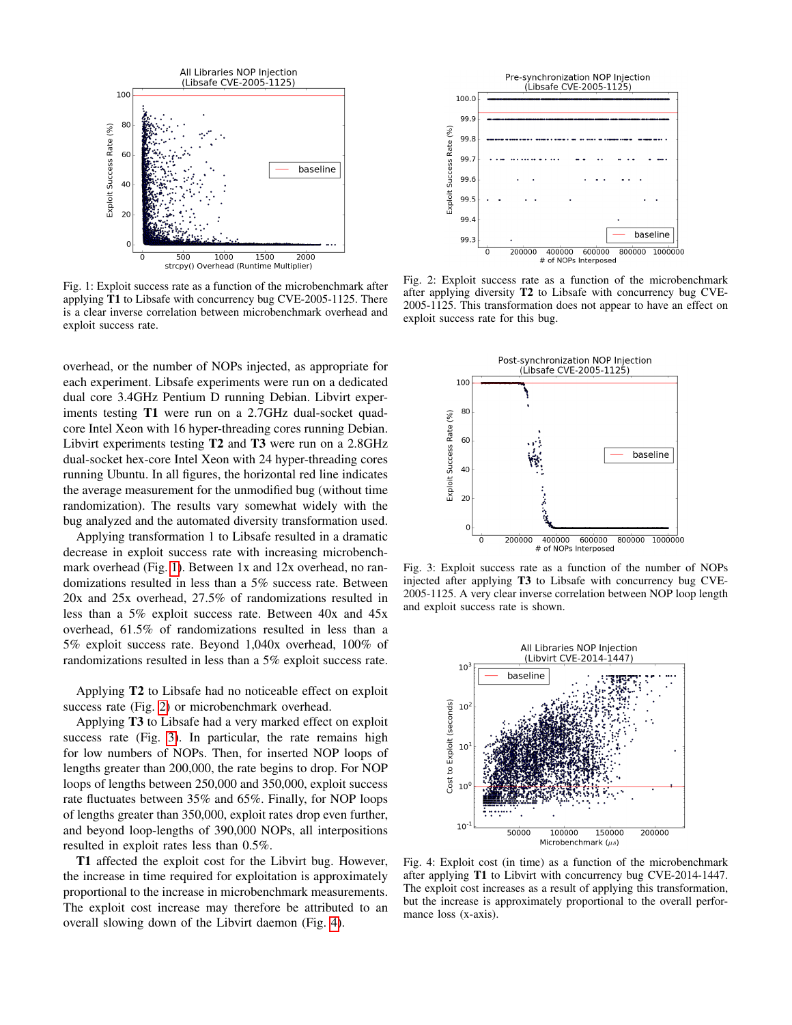<span id="page-3-0"></span>

Fig. 1: Exploit success rate as a function of the microbenchmark after applying T1 to Libsafe with concurrency bug CVE-2005-1125. There is a clear inverse correlation between microbenchmark overhead and exploit success rate.

overhead, or the number of NOPs injected, as appropriate for each experiment. Libsafe experiments were run on a dedicated dual core 3.4GHz Pentium D running Debian. Libvirt experiments testing T1 were run on a 2.7GHz dual-socket quadcore Intel Xeon with 16 hyper-threading cores running Debian. Libvirt experiments testing T2 and T3 were run on a 2.8GHz dual-socket hex-core Intel Xeon with 24 hyper-threading cores running Ubuntu. In all figures, the horizontal red line indicates the average measurement for the unmodified bug (without time randomization). The results vary somewhat widely with the bug analyzed and the automated diversity transformation used.

Applying transformation 1 to Libsafe resulted in a dramatic decrease in exploit success rate with increasing microbenchmark overhead (Fig. [1\)](#page-3-0). Between 1x and 12x overhead, no randomizations resulted in less than a 5% success rate. Between 20x and 25x overhead, 27.5% of randomizations resulted in less than a 5% exploit success rate. Between 40x and 45x overhead, 61.5% of randomizations resulted in less than a 5% exploit success rate. Beyond 1,040x overhead, 100% of randomizations resulted in less than a 5% exploit success rate.

Applying T2 to Libsafe had no noticeable effect on exploit success rate (Fig. [2\)](#page-3-1) or microbenchmark overhead.

Applying T3 to Libsafe had a very marked effect on exploit success rate (Fig. [3\)](#page-3-2). In particular, the rate remains high for low numbers of NOPs. Then, for inserted NOP loops of lengths greater than 200,000, the rate begins to drop. For NOP loops of lengths between 250,000 and 350,000, exploit success rate fluctuates between 35% and 65%. Finally, for NOP loops of lengths greater than 350,000, exploit rates drop even further, and beyond loop-lengths of 390,000 NOPs, all interpositions resulted in exploit rates less than 0.5%.

T1 affected the exploit cost for the Libvirt bug. However, the increase in time required for exploitation is approximately proportional to the increase in microbenchmark measurements. The exploit cost increase may therefore be attributed to an overall slowing down of the Libvirt daemon (Fig. [4\)](#page-3-3).

<span id="page-3-1"></span>

Fig. 2: Exploit success rate as a function of the microbenchmark after applying diversity T2 to Libsafe with concurrency bug CVE-2005-1125. This transformation does not appear to have an effect on exploit success rate for this bug.

<span id="page-3-2"></span>

Fig. 3: Exploit success rate as a function of the number of NOPs injected after applying T3 to Libsafe with concurrency bug CVE-2005-1125. A very clear inverse correlation between NOP loop length and exploit success rate is shown.

<span id="page-3-3"></span>

Fig. 4: Exploit cost (in time) as a function of the microbenchmark after applying T1 to Libvirt with concurrency bug CVE-2014-1447. The exploit cost increases as a result of applying this transformation, but the increase is approximately proportional to the overall performance loss (x-axis).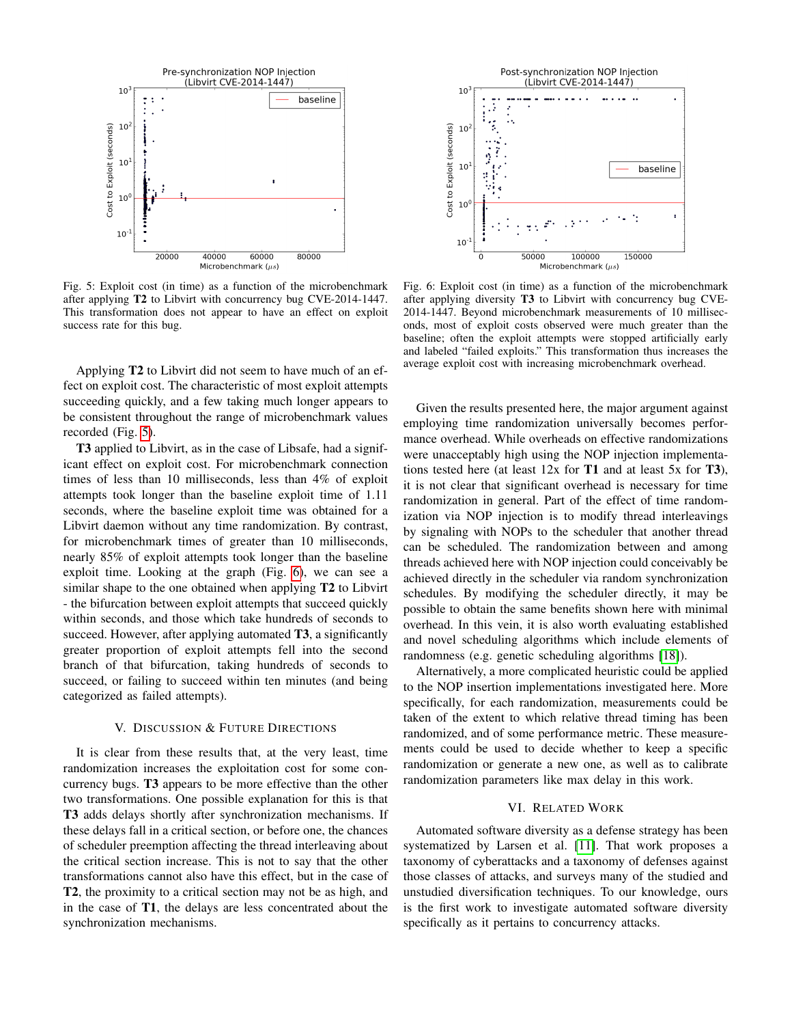<span id="page-4-1"></span>

Fig. 5: Exploit cost (in time) as a function of the microbenchmark after applying T2 to Libvirt with concurrency bug CVE-2014-1447. This transformation does not appear to have an effect on exploit success rate for this bug.

Applying T2 to Libvirt did not seem to have much of an effect on exploit cost. The characteristic of most exploit attempts succeeding quickly, and a few taking much longer appears to be consistent throughout the range of microbenchmark values recorded (Fig. [5\)](#page-4-1).

T3 applied to Libvirt, as in the case of Libsafe, had a significant effect on exploit cost. For microbenchmark connection times of less than 10 milliseconds, less than 4% of exploit attempts took longer than the baseline exploit time of 1.11 seconds, where the baseline exploit time was obtained for a Libvirt daemon without any time randomization. By contrast, for microbenchmark times of greater than 10 milliseconds, nearly 85% of exploit attempts took longer than the baseline exploit time. Looking at the graph (Fig. [6\)](#page-4-2), we can see a similar shape to the one obtained when applying T2 to Libvirt - the bifurcation between exploit attempts that succeed quickly within seconds, and those which take hundreds of seconds to succeed. However, after applying automated **T3**, a significantly greater proportion of exploit attempts fell into the second branch of that bifurcation, taking hundreds of seconds to succeed, or failing to succeed within ten minutes (and being categorized as failed attempts).

#### V. DISCUSSION & FUTURE DIRECTIONS

<span id="page-4-0"></span>It is clear from these results that, at the very least, time randomization increases the exploitation cost for some concurrency bugs. T3 appears to be more effective than the other two transformations. One possible explanation for this is that T3 adds delays shortly after synchronization mechanisms. If these delays fall in a critical section, or before one, the chances of scheduler preemption affecting the thread interleaving about the critical section increase. This is not to say that the other transformations cannot also have this effect, but in the case of T2, the proximity to a critical section may not be as high, and in the case of T1, the delays are less concentrated about the synchronization mechanisms.

<span id="page-4-2"></span>

Fig. 6: Exploit cost (in time) as a function of the microbenchmark after applying diversity T3 to Libvirt with concurrency bug CVE-2014-1447. Beyond microbenchmark measurements of 10 milliseconds, most of exploit costs observed were much greater than the baseline; often the exploit attempts were stopped artificially early and labeled "failed exploits." This transformation thus increases the average exploit cost with increasing microbenchmark overhead.

Given the results presented here, the major argument against employing time randomization universally becomes performance overhead. While overheads on effective randomizations were unacceptably high using the NOP injection implementations tested here (at least 12x for T1 and at least 5x for T3), it is not clear that significant overhead is necessary for time randomization in general. Part of the effect of time randomization via NOP injection is to modify thread interleavings by signaling with NOPs to the scheduler that another thread can be scheduled. The randomization between and among threads achieved here with NOP injection could conceivably be achieved directly in the scheduler via random synchronization schedules. By modifying the scheduler directly, it may be possible to obtain the same benefits shown here with minimal overhead. In this vein, it is also worth evaluating established and novel scheduling algorithms which include elements of randomness (e.g. genetic scheduling algorithms [\[18\]](#page-5-17)).

Alternatively, a more complicated heuristic could be applied to the NOP insertion implementations investigated here. More specifically, for each randomization, measurements could be taken of the extent to which relative thread timing has been randomized, and of some performance metric. These measurements could be used to decide whether to keep a specific randomization or generate a new one, as well as to calibrate randomization parameters like max delay in this work.

#### VI. RELATED WORK

Automated software diversity as a defense strategy has been systematized by Larsen et al. [\[11\]](#page-5-10). That work proposes a taxonomy of cyberattacks and a taxonomy of defenses against those classes of attacks, and surveys many of the studied and unstudied diversification techniques. To our knowledge, ours is the first work to investigate automated software diversity specifically as it pertains to concurrency attacks.